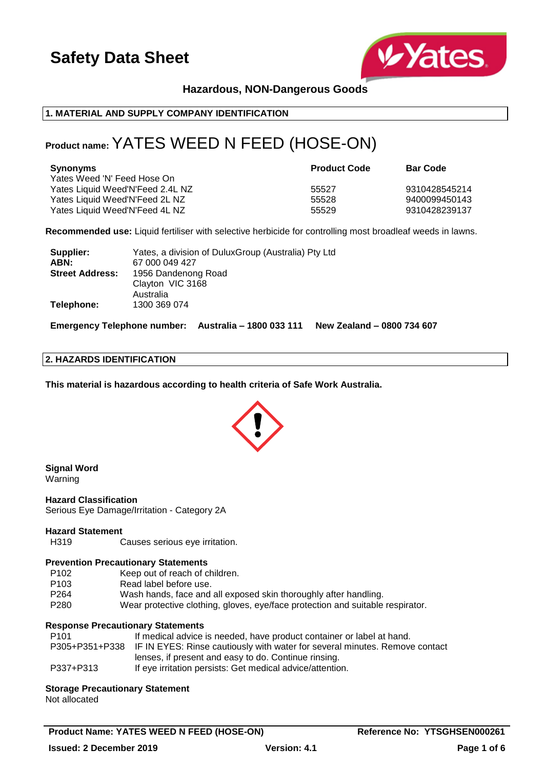

# **Hazardous, NON-Dangerous Goods**

#### **1. MATERIAL AND SUPPLY COMPANY IDENTIFICATION**

# **Product name:** YATES WEED N FEED (HOSE-ON)

| Synonyms<br>Yates Weed 'N' Feed Hose On                          | <b>Product Code</b> | <b>Bar Code</b>                |
|------------------------------------------------------------------|---------------------|--------------------------------|
| Yates Liquid Weed'N'Feed 2.4L NZ                                 | 55527               | 9310428545214                  |
| Yates Liquid Weed'N'Feed 2L NZ<br>Yates Liquid Weed'N'Feed 4L NZ | 55528<br>55529      | 9400099450143<br>9310428239137 |
|                                                                  |                     |                                |

**Recommended use:** Liquid fertiliser with selective herbicide for controlling most broadleaf weeds in lawns.

| Supplier:              | Yates, a division of DuluxGroup (Australia) Pty Ltd |  |
|------------------------|-----------------------------------------------------|--|
| ABN:                   | 67 000 049 427                                      |  |
| <b>Street Address:</b> | 1956 Dandenong Road                                 |  |
|                        | Clayton VIC 3168                                    |  |
|                        | Australia                                           |  |
| Telephone:             | 1300 369 074                                        |  |

**Emergency Telephone number: Australia – 1800 033 111 New Zealand – 0800 734 607**

#### **2. HAZARDS IDENTIFICATION**

**This material is hazardous according to health criteria of Safe Work Australia.**



# **Signal Word**

Warning

**Hazard Classification** Serious Eye Damage/Irritation - Category 2A

#### **Hazard Statement**

H319 Causes serious eye irritation.

#### **Prevention Precautionary Statements**

- P102 Keep out of reach of children.
- P103 Read label before use.
- P264 Wash hands, face and all exposed skin thoroughly after handling.
- P280 Wear protective clothing, gloves, eye/face protection and suitable respirator.

## **Response Precautionary Statements**

| P101      | If medical advice is needed, have product container or label at hand.                      |
|-----------|--------------------------------------------------------------------------------------------|
|           | P305+P351+P338 IF IN EYES: Rinse cautiously with water for several minutes. Remove contact |
|           | lenses, if present and easy to do. Continue rinsing.                                       |
| P337+P313 | If eye irritation persists: Get medical advice/attention.                                  |

**Storage Precautionary Statement** Not allocated

**Product Name: YATES WEED N FEED (HOSE-ON)** Reference No: YTSGHSEN000261 **Issued: 2 December 2019 Version: 4.1 Page 1 of 6**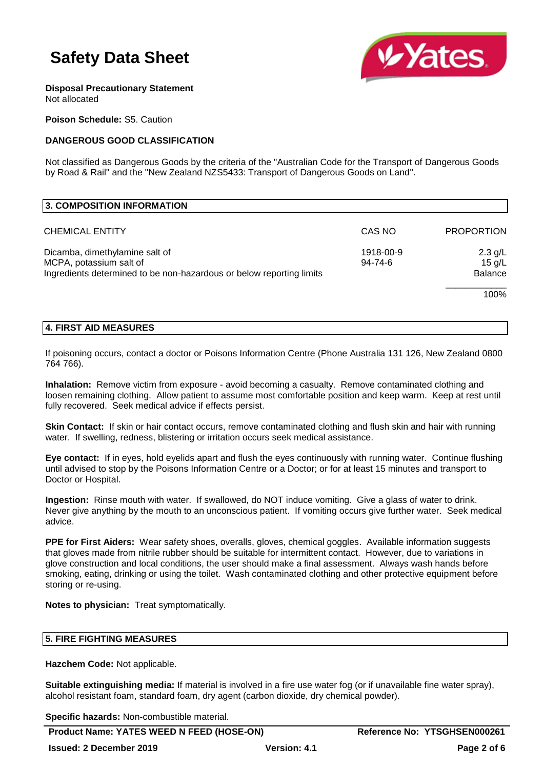

**Disposal Precautionary Statement** Not allocated

**Poison Schedule:** S5. Caution

# **DANGEROUS GOOD CLASSIFICATION**

Not classified as Dangerous Goods by the criteria of the "Australian Code for the Transport of Dangerous Goods by Road & Rail" and the "New Zealand NZS5433: Transport of Dangerous Goods on Land".

| 3. COMPOSITION INFORMATION                                                                                       |           |                            |
|------------------------------------------------------------------------------------------------------------------|-----------|----------------------------|
| <b>CHEMICAL ENTITY</b>                                                                                           | CAS NO    | <b>PROPORTION</b>          |
| Dicamba, dimethylamine salt of                                                                                   | 1918-00-9 | $2.3$ g/L                  |
| MCPA, potassium salt of<br>$94 - 74 - 6$<br>Ingredients determined to be non-hazardous or below reporting limits |           | $15$ g/L<br><b>Balance</b> |
|                                                                                                                  |           | 100%                       |

## **4. FIRST AID MEASURES**

If poisoning occurs, contact a doctor or Poisons Information Centre (Phone Australia 131 126, New Zealand 0800 764 766).

**Inhalation:** Remove victim from exposure - avoid becoming a casualty. Remove contaminated clothing and loosen remaining clothing. Allow patient to assume most comfortable position and keep warm. Keep at rest until fully recovered. Seek medical advice if effects persist.

**Skin Contact:** If skin or hair contact occurs, remove contaminated clothing and flush skin and hair with running water. If swelling, redness, blistering or irritation occurs seek medical assistance.

**Eye contact:** If in eyes, hold eyelids apart and flush the eyes continuously with running water. Continue flushing until advised to stop by the Poisons Information Centre or a Doctor; or for at least 15 minutes and transport to Doctor or Hospital.

**Ingestion:** Rinse mouth with water. If swallowed, do NOT induce vomiting. Give a glass of water to drink. Never give anything by the mouth to an unconscious patient. If vomiting occurs give further water. Seek medical advice.

**PPE for First Aiders:** Wear safety shoes, overalls, gloves, chemical goggles. Available information suggests that gloves made from nitrile rubber should be suitable for intermittent contact. However, due to variations in glove construction and local conditions, the user should make a final assessment. Always wash hands before smoking, eating, drinking or using the toilet. Wash contaminated clothing and other protective equipment before storing or re-using.

**Notes to physician:** Treat symptomatically.

## **5. FIRE FIGHTING MEASURES**

**Hazchem Code:** Not applicable.

**Suitable extinguishing media:** If material is involved in a fire use water fog (or if unavailable fine water spray), alcohol resistant foam, standard foam, dry agent (carbon dioxide, dry chemical powder).

**Specific hazards:** Non-combustible material.

Product Name: YATES WEED N FEED (HOSE-ON) Reference No: YTSGHSEN000261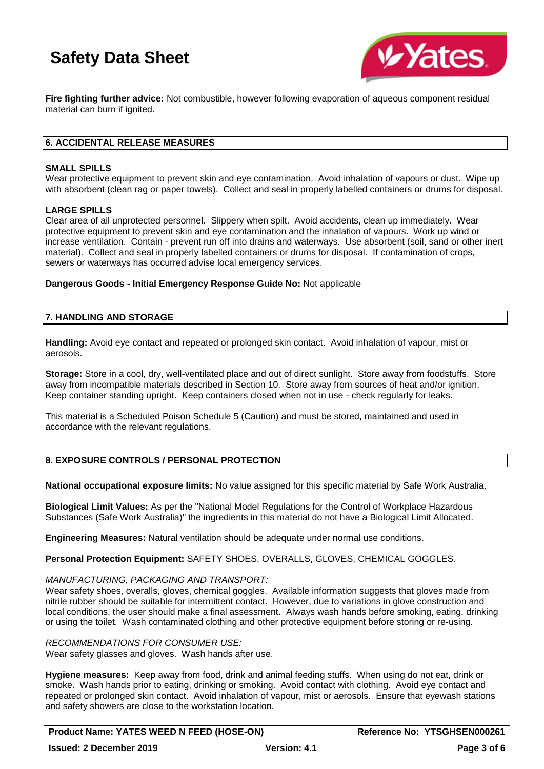

**Fire fighting further advice:** Not combustible, however following evaporation of aqueous component residual material can burn if ignited.

### **6. ACCIDENTAL RELEASE MEASURES**

#### **SMALL SPILLS**

Wear protective equipment to prevent skin and eye contamination. Avoid inhalation of vapours or dust. Wipe up with absorbent (clean rag or paper towels). Collect and seal in properly labelled containers or drums for disposal.

#### **LARGE SPILLS**

Clear area of all unprotected personnel. Slippery when spilt. Avoid accidents, clean up immediately. Wear protective equipment to prevent skin and eye contamination and the inhalation of vapours. Work up wind or increase ventilation. Contain - prevent run off into drains and waterways. Use absorbent (soil, sand or other inert material). Collect and seal in properly labelled containers or drums for disposal. If contamination of crops, sewers or waterways has occurred advise local emergency services.

**Dangerous Goods - Initial Emergency Response Guide No:** Not applicable

#### **7. HANDLING AND STORAGE**

**Handling:** Avoid eye contact and repeated or prolonged skin contact. Avoid inhalation of vapour, mist or aerosols.

**Storage:** Store in a cool, dry, well-ventilated place and out of direct sunlight. Store away from foodstuffs. Store away from incompatible materials described in Section 10. Store away from sources of heat and/or ignition. Keep container standing upright. Keep containers closed when not in use - check regularly for leaks.

This material is a Scheduled Poison Schedule 5 (Caution) and must be stored, maintained and used in accordance with the relevant regulations.

## **8. EXPOSURE CONTROLS / PERSONAL PROTECTION**

**National occupational exposure limits:** No value assigned for this specific material by Safe Work Australia.

**Biological Limit Values:** As per the "National Model Regulations for the Control of Workplace Hazardous Substances (Safe Work Australia)" the ingredients in this material do not have a Biological Limit Allocated.

**Engineering Measures:** Natural ventilation should be adequate under normal use conditions.

**Personal Protection Equipment:** SAFETY SHOES, OVERALLS, GLOVES, CHEMICAL GOGGLES.

#### *MANUFACTURING, PACKAGING AND TRANSPORT:*

Wear safety shoes, overalls, gloves, chemical goggles. Available information suggests that gloves made from nitrile rubber should be suitable for intermittent contact. However, due to variations in glove construction and local conditions, the user should make a final assessment. Always wash hands before smoking, eating, drinking or using the toilet. Wash contaminated clothing and other protective equipment before storing or re-using.

*RECOMMENDATIONS FOR CONSUMER USE:*

Wear safety glasses and gloves. Wash hands after use.

**Hygiene measures:** Keep away from food, drink and animal feeding stuffs. When using do not eat, drink or smoke. Wash hands prior to eating, drinking or smoking. Avoid contact with clothing. Avoid eye contact and repeated or prolonged skin contact. Avoid inhalation of vapour, mist or aerosols. Ensure that eyewash stations and safety showers are close to the workstation location.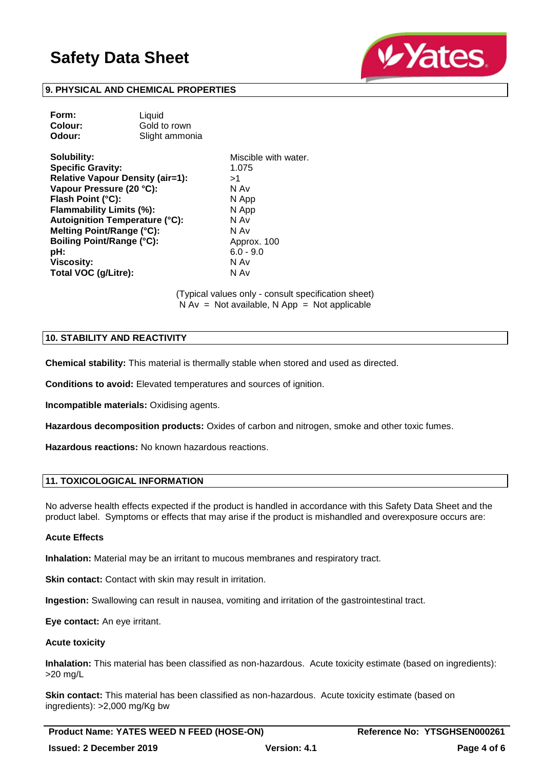

## **9. PHYSICAL AND CHEMICAL PROPERTIES**

| Form:   | Liquid         |
|---------|----------------|
| Colour: | Gold to rown   |
| Odour:  | Slight ammonia |
|         |                |

**Solubility:** Miscible with water. **Specific Gravity:** 1.075 **Relative Vapour Density (air=1):** >1 **Vapour Pressure (20 °C):** N Av **Flash Point (°C):** N App **Flammability Limits (%):** N App **Autoignition Temperature (°C):** N Av **Melting Point/Range (°C):** N Av **Boiling Point/Range (°C):** Approx. 100 **pH:** 6.0 - 9.0 **Viscosity:** N Av **Total VOC (g/Litre):** N Av

(Typical values only - consult specification sheet)  $N Av = Not available, N App = Not applicable$ 

#### **10. STABILITY AND REACTIVITY**

**Chemical stability:** This material is thermally stable when stored and used as directed.

**Conditions to avoid:** Elevated temperatures and sources of ignition.

**Incompatible materials:** Oxidising agents.

**Hazardous decomposition products:** Oxides of carbon and nitrogen, smoke and other toxic fumes.

**Hazardous reactions:** No known hazardous reactions.

#### **11. TOXICOLOGICAL INFORMATION**

No adverse health effects expected if the product is handled in accordance with this Safety Data Sheet and the product label. Symptoms or effects that may arise if the product is mishandled and overexposure occurs are:

#### **Acute Effects**

**Inhalation:** Material may be an irritant to mucous membranes and respiratory tract.

**Skin contact:** Contact with skin may result in irritation.

**Ingestion:** Swallowing can result in nausea, vomiting and irritation of the gastrointestinal tract.

**Eye contact:** An eye irritant.

#### **Acute toxicity**

**Inhalation:** This material has been classified as non-hazardous. Acute toxicity estimate (based on ingredients): >20 mg/L

**Skin contact:** This material has been classified as non-hazardous. Acute toxicity estimate (based on ingredients): >2,000 mg/Kg bw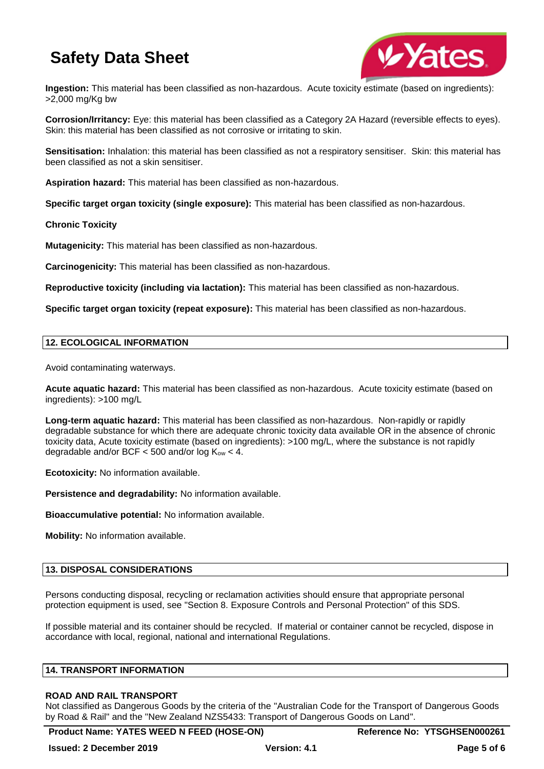

**Ingestion:** This material has been classified as non-hazardous. Acute toxicity estimate (based on ingredients): >2,000 mg/Kg bw

**Corrosion/Irritancy:** Eye: this material has been classified as a Category 2A Hazard (reversible effects to eyes). Skin: this material has been classified as not corrosive or irritating to skin.

**Sensitisation:** Inhalation: this material has been classified as not a respiratory sensitiser. Skin: this material has been classified as not a skin sensitiser.

**Aspiration hazard:** This material has been classified as non-hazardous.

**Specific target organ toxicity (single exposure):** This material has been classified as non-hazardous.

#### **Chronic Toxicity**

**Mutagenicity:** This material has been classified as non-hazardous.

**Carcinogenicity:** This material has been classified as non-hazardous.

**Reproductive toxicity (including via lactation):** This material has been classified as non-hazardous.

**Specific target organ toxicity (repeat exposure):** This material has been classified as non-hazardous.

#### **12. ECOLOGICAL INFORMATION**

Avoid contaminating waterways.

**Acute aquatic hazard:** This material has been classified as non-hazardous. Acute toxicity estimate (based on ingredients): >100 mg/L

**Long-term aquatic hazard:** This material has been classified as non-hazardous. Non-rapidly or rapidly degradable substance for which there are adequate chronic toxicity data available OR in the absence of chronic toxicity data, Acute toxicity estimate (based on ingredients): >100 mg/L, where the substance is not rapidly degradable and/or BCF  $<$  500 and/or log  $K_{ow}$   $<$  4.

**Ecotoxicity:** No information available.

**Persistence and degradability:** No information available.

**Bioaccumulative potential:** No information available.

**Mobility:** No information available.

### **13. DISPOSAL CONSIDERATIONS**

Persons conducting disposal, recycling or reclamation activities should ensure that appropriate personal protection equipment is used, see "Section 8. Exposure Controls and Personal Protection" of this SDS.

If possible material and its container should be recycled. If material or container cannot be recycled, dispose in accordance with local, regional, national and international Regulations.

#### **14. TRANSPORT INFORMATION**

#### **ROAD AND RAIL TRANSPORT**

Not classified as Dangerous Goods by the criteria of the "Australian Code for the Transport of Dangerous Goods by Road & Rail" and the "New Zealand NZS5433: Transport of Dangerous Goods on Land".